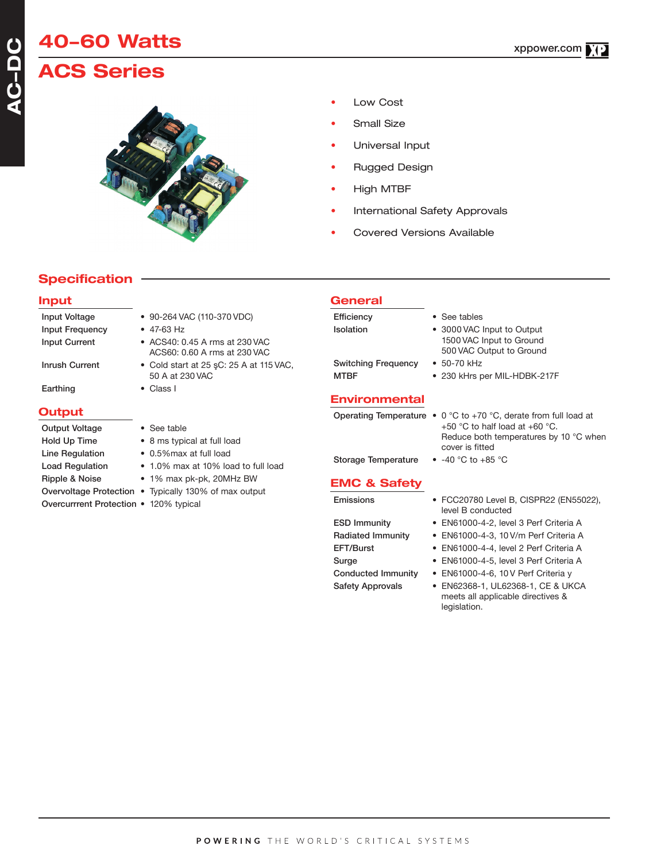# **40-60 Watts ACS Series**

- Low Cost
- Small Size
- Universal Input
- Rugged Design
- High MTBF
- International Safety Approvals
- Covered Versions Available

# **Specification**

#### **Input**

| <b>Input Voltage</b>   | • 90-264 VAC (110-370 VDC)                                     |
|------------------------|----------------------------------------------------------------|
| Input Frequency        | $\bullet$ 47-63 Hz                                             |
| <b>Input Current</b>   | • ACS40: 0.45 A rms at 230 VAC<br>ACS60: 0.60 A rms at 230 VAC |
| Inrush Current         | • Cold start at 25 sC: 25 A at 115 VAC,<br>50 A at 230 VAC     |
| Earthing               | $\bullet$ Class I                                              |
| <b>Output</b>          |                                                                |
| <b>Output Voltage</b>  | • See table                                                    |
| Hold Up Time           | • 8 ms typical at full load                                    |
| Line Regulation        | • 0.5% max at full load                                        |
| <b>Load Regulation</b> | • 1.0% max at 10% load to full load                            |
| Ripple & Noise         | • 1% max pk-pk, 20MHz BW                                       |
| Overvoltage Protection | • Typically 130% of max output                                 |

Overcurrrent Protection • 120% typical

## **General**

| Efficiency                 | • See tables                                                                       |
|----------------------------|------------------------------------------------------------------------------------|
| <b>Isolation</b>           | • 3000 VAC Input to Output<br>1500 VAC Input to Ground<br>500 VAC Output to Ground |
| <b>Switching Frequency</b> | $\bullet$ 50-70 kHz                                                                |
| <b>MTBF</b>                | • 230 kHrs per MIL-HDBK-217F                                                       |
|                            |                                                                                    |

## **Environmental**

|  | Operating Temperature $\bullet$ 0 °C to +70 °C, derate from full load at |
|--|--------------------------------------------------------------------------|
|  | +50 $^{\circ}$ C to half load at +60 $^{\circ}$ C.                       |
|  | Reduce both temperatures by 10 °C when                                   |
|  | cover is fitted                                                          |
|  |                                                                          |

Storage Temperature • -40 °C to +85 °C

#### **EMC & Safety**

- Emissions FCC20780 Level B, CISPR22 (EN55022), level B conducted
- ESD Immunity EN61000-4-2, level 3 Perf Criteria A
- Radiated Immunity EN61000-4-3, 10 V/m Perf Criteria A
- EFT/Burst EN61000-4-4, level 2 Perf Criteria A
- Surge EN61000-4-5, level 3 Perf Criteria A
- Conducted Immunity EN61000-4-6, 10 V Perf Criteria y
- Safety Approvals EN62368-1, UL62368-1, CE & UKCA meets all applicable directives & legislation.